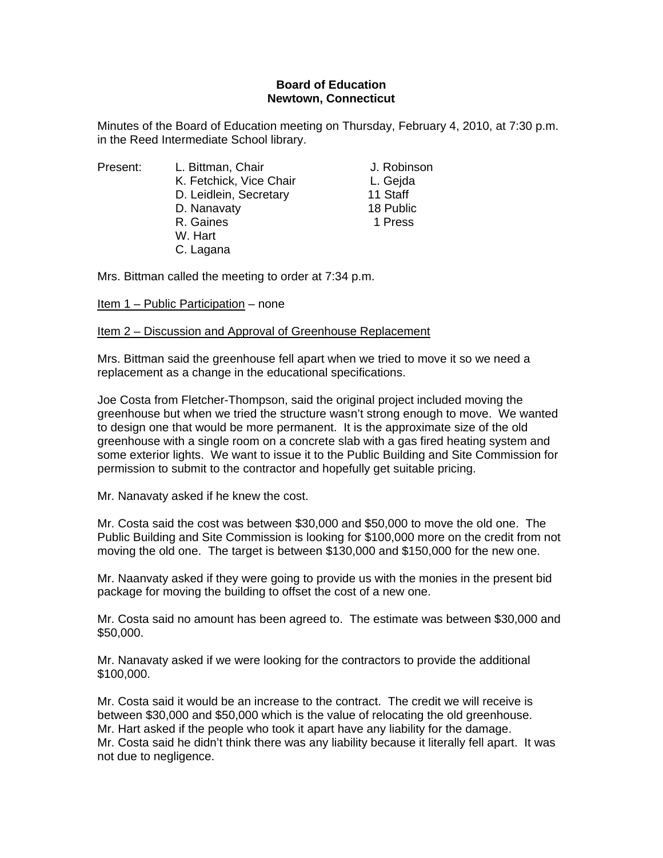## **Board of Education Newtown, Connecticut**

Minutes of the Board of Education meeting on Thursday, February 4, 2010, at 7:30 p.m. in the Reed Intermediate School library.

Present: L. Bittman, Chair Chair J. Robinson K. Fetchick, Vice Chair **L. Gejda** D. Leidlein, Secretary 11 Staff D. Nanavaty 18 Public R. Gaines **1 Press**  W. Hart C. Lagana

Mrs. Bittman called the meeting to order at 7:34 p.m.

Item 1 – Public Participation – none

# Item 2 – Discussion and Approval of Greenhouse Replacement

Mrs. Bittman said the greenhouse fell apart when we tried to move it so we need a replacement as a change in the educational specifications.

Joe Costa from Fletcher-Thompson, said the original project included moving the greenhouse but when we tried the structure wasn't strong enough to move. We wanted to design one that would be more permanent. It is the approximate size of the old greenhouse with a single room on a concrete slab with a gas fired heating system and some exterior lights. We want to issue it to the Public Building and Site Commission for permission to submit to the contractor and hopefully get suitable pricing.

Mr. Nanavaty asked if he knew the cost.

Mr. Costa said the cost was between \$30,000 and \$50,000 to move the old one. The Public Building and Site Commission is looking for \$100,000 more on the credit from not moving the old one. The target is between \$130,000 and \$150,000 for the new one.

Mr. Naanvaty asked if they were going to provide us with the monies in the present bid package for moving the building to offset the cost of a new one.

Mr. Costa said no amount has been agreed to. The estimate was between \$30,000 and \$50,000.

Mr. Nanavaty asked if we were looking for the contractors to provide the additional \$100,000.

Mr. Costa said it would be an increase to the contract. The credit we will receive is between \$30,000 and \$50,000 which is the value of relocating the old greenhouse. Mr. Hart asked if the people who took it apart have any liability for the damage. Mr. Costa said he didn't think there was any liability because it literally fell apart. It was not due to negligence.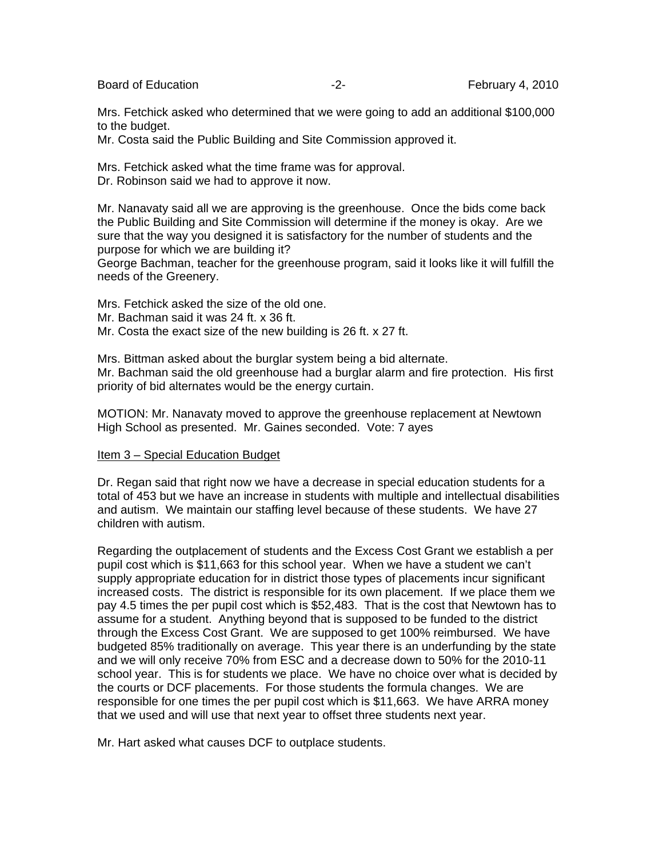Board of Education **-2-** February 4, 2010

Mrs. Fetchick asked who determined that we were going to add an additional \$100,000 to the budget.

Mr. Costa said the Public Building and Site Commission approved it.

Mrs. Fetchick asked what the time frame was for approval. Dr. Robinson said we had to approve it now.

Mr. Nanavaty said all we are approving is the greenhouse. Once the bids come back the Public Building and Site Commission will determine if the money is okay. Are we sure that the way you designed it is satisfactory for the number of students and the purpose for which we are building it?

George Bachman, teacher for the greenhouse program, said it looks like it will fulfill the needs of the Greenery.

Mrs. Fetchick asked the size of the old one. Mr. Bachman said it was 24 ft. x 36 ft. Mr. Costa the exact size of the new building is 26 ft. x 27 ft.

Mrs. Bittman asked about the burglar system being a bid alternate. Mr. Bachman said the old greenhouse had a burglar alarm and fire protection. His first priority of bid alternates would be the energy curtain.

MOTION: Mr. Nanavaty moved to approve the greenhouse replacement at Newtown High School as presented. Mr. Gaines seconded. Vote: 7 ayes

## Item 3 – Special Education Budget

Dr. Regan said that right now we have a decrease in special education students for a total of 453 but we have an increase in students with multiple and intellectual disabilities and autism. We maintain our staffing level because of these students. We have 27 children with autism.

Regarding the outplacement of students and the Excess Cost Grant we establish a per pupil cost which is \$11,663 for this school year. When we have a student we can't supply appropriate education for in district those types of placements incur significant increased costs. The district is responsible for its own placement. If we place them we pay 4.5 times the per pupil cost which is \$52,483. That is the cost that Newtown has to assume for a student. Anything beyond that is supposed to be funded to the district through the Excess Cost Grant. We are supposed to get 100% reimbursed. We have budgeted 85% traditionally on average. This year there is an underfunding by the state and we will only receive 70% from ESC and a decrease down to 50% for the 2010-11 school year. This is for students we place. We have no choice over what is decided by the courts or DCF placements. For those students the formula changes. We are responsible for one times the per pupil cost which is \$11,663. We have ARRA money that we used and will use that next year to offset three students next year.

Mr. Hart asked what causes DCF to outplace students.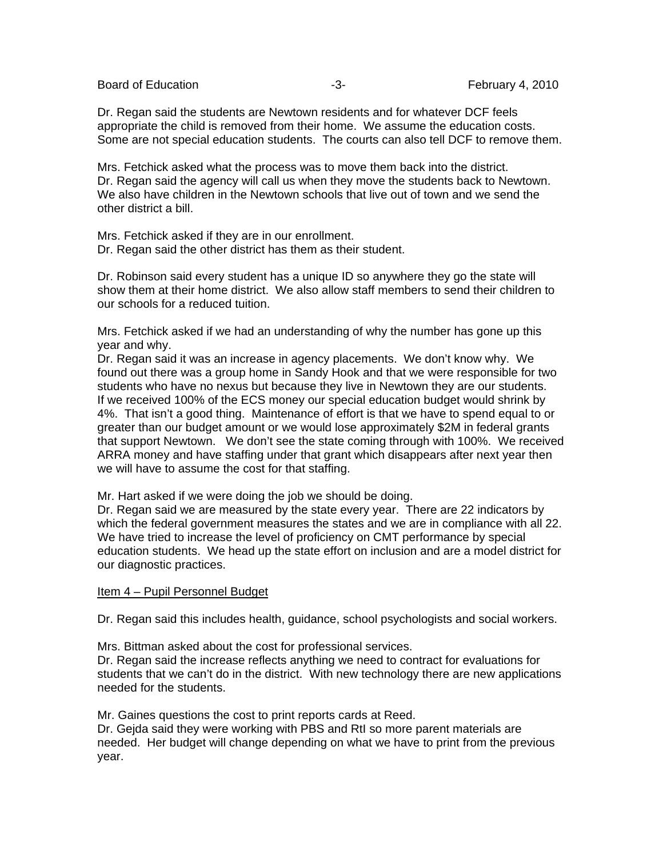Board of Education **-3-** February 4, 2010

Dr. Regan said the students are Newtown residents and for whatever DCF feels appropriate the child is removed from their home. We assume the education costs. Some are not special education students. The courts can also tell DCF to remove them.

Mrs. Fetchick asked what the process was to move them back into the district. Dr. Regan said the agency will call us when they move the students back to Newtown. We also have children in the Newtown schools that live out of town and we send the other district a bill.

Mrs. Fetchick asked if they are in our enrollment. Dr. Regan said the other district has them as their student.

Dr. Robinson said every student has a unique ID so anywhere they go the state will show them at their home district. We also allow staff members to send their children to our schools for a reduced tuition.

Mrs. Fetchick asked if we had an understanding of why the number has gone up this year and why.

Dr. Regan said it was an increase in agency placements. We don't know why. We found out there was a group home in Sandy Hook and that we were responsible for two students who have no nexus but because they live in Newtown they are our students. If we received 100% of the ECS money our special education budget would shrink by 4%. That isn't a good thing. Maintenance of effort is that we have to spend equal to or greater than our budget amount or we would lose approximately \$2M in federal grants that support Newtown. We don't see the state coming through with 100%. We received ARRA money and have staffing under that grant which disappears after next year then we will have to assume the cost for that staffing.

Mr. Hart asked if we were doing the job we should be doing.

Dr. Regan said we are measured by the state every year. There are 22 indicators by which the federal government measures the states and we are in compliance with all 22. We have tried to increase the level of proficiency on CMT performance by special education students. We head up the state effort on inclusion and are a model district for our diagnostic practices.

## Item 4 – Pupil Personnel Budget

Dr. Regan said this includes health, guidance, school psychologists and social workers.

Mrs. Bittman asked about the cost for professional services.

Dr. Regan said the increase reflects anything we need to contract for evaluations for students that we can't do in the district. With new technology there are new applications needed for the students.

Mr. Gaines questions the cost to print reports cards at Reed.

Dr. Gejda said they were working with PBS and RtI so more parent materials are needed. Her budget will change depending on what we have to print from the previous year.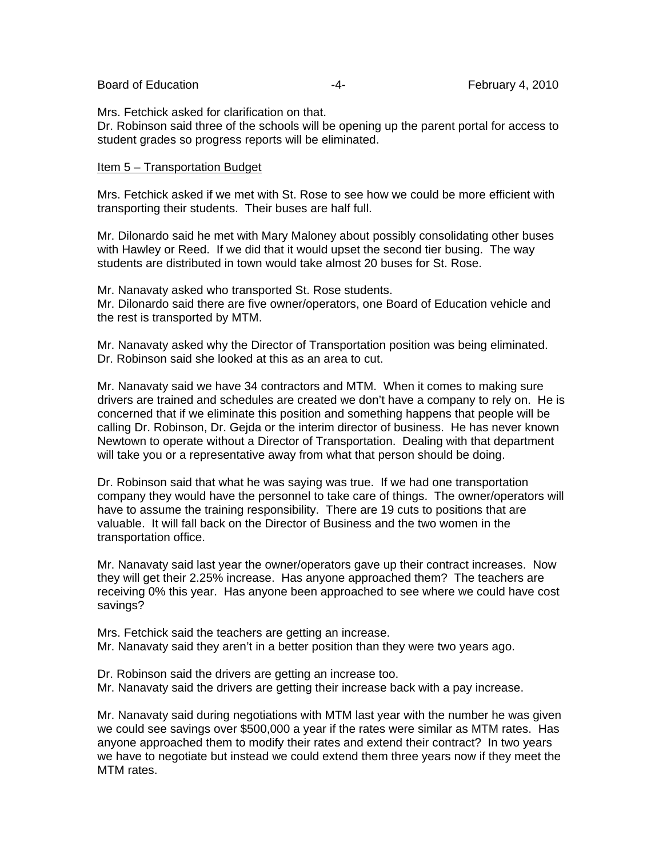#### Board of Education **February 4, 2010** -4- February 4, 2010

Mrs. Fetchick asked for clarification on that.

Dr. Robinson said three of the schools will be opening up the parent portal for access to student grades so progress reports will be eliminated.

#### Item 5 – Transportation Budget

Mrs. Fetchick asked if we met with St. Rose to see how we could be more efficient with transporting their students. Their buses are half full.

Mr. Dilonardo said he met with Mary Maloney about possibly consolidating other buses with Hawley or Reed. If we did that it would upset the second tier busing. The way students are distributed in town would take almost 20 buses for St. Rose.

Mr. Nanavaty asked who transported St. Rose students. Mr. Dilonardo said there are five owner/operators, one Board of Education vehicle and the rest is transported by MTM.

Mr. Nanavaty asked why the Director of Transportation position was being eliminated. Dr. Robinson said she looked at this as an area to cut.

Mr. Nanavaty said we have 34 contractors and MTM. When it comes to making sure drivers are trained and schedules are created we don't have a company to rely on. He is concerned that if we eliminate this position and something happens that people will be calling Dr. Robinson, Dr. Gejda or the interim director of business. He has never known Newtown to operate without a Director of Transportation. Dealing with that department will take you or a representative away from what that person should be doing.

Dr. Robinson said that what he was saying was true. If we had one transportation company they would have the personnel to take care of things. The owner/operators will have to assume the training responsibility. There are 19 cuts to positions that are valuable. It will fall back on the Director of Business and the two women in the transportation office.

Mr. Nanavaty said last year the owner/operators gave up their contract increases. Now they will get their 2.25% increase. Has anyone approached them? The teachers are receiving 0% this year. Has anyone been approached to see where we could have cost savings?

Mrs. Fetchick said the teachers are getting an increase. Mr. Nanavaty said they aren't in a better position than they were two years ago.

Dr. Robinson said the drivers are getting an increase too.

Mr. Nanavaty said the drivers are getting their increase back with a pay increase.

Mr. Nanavaty said during negotiations with MTM last year with the number he was given we could see savings over \$500,000 a year if the rates were similar as MTM rates. Has anyone approached them to modify their rates and extend their contract? In two years we have to negotiate but instead we could extend them three years now if they meet the MTM rates.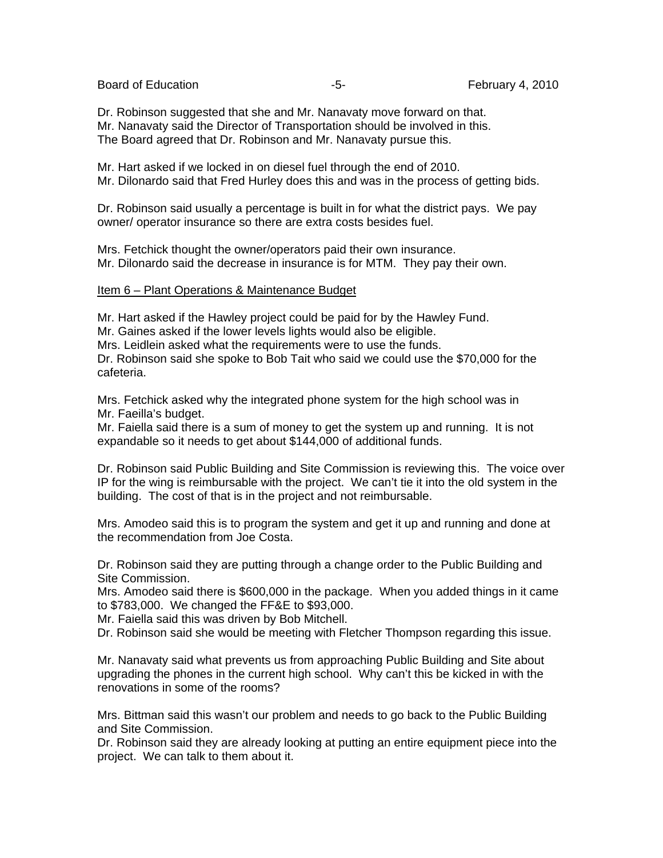Board of Education **Francisco Community** Control Control of Education **February 4, 2010** 

Dr. Robinson suggested that she and Mr. Nanavaty move forward on that. Mr. Nanavaty said the Director of Transportation should be involved in this. The Board agreed that Dr. Robinson and Mr. Nanavaty pursue this.

Mr. Hart asked if we locked in on diesel fuel through the end of 2010. Mr. Dilonardo said that Fred Hurley does this and was in the process of getting bids.

Dr. Robinson said usually a percentage is built in for what the district pays. We pay owner/ operator insurance so there are extra costs besides fuel.

Mrs. Fetchick thought the owner/operators paid their own insurance. Mr. Dilonardo said the decrease in insurance is for MTM. They pay their own.

## Item 6 – Plant Operations & Maintenance Budget

Mr. Hart asked if the Hawley project could be paid for by the Hawley Fund.

Mr. Gaines asked if the lower levels lights would also be eligible.

Mrs. Leidlein asked what the requirements were to use the funds.

Dr. Robinson said she spoke to Bob Tait who said we could use the \$70,000 for the cafeteria.

Mrs. Fetchick asked why the integrated phone system for the high school was in Mr. Faeilla's budget.

Mr. Faiella said there is a sum of money to get the system up and running. It is not expandable so it needs to get about \$144,000 of additional funds.

Dr. Robinson said Public Building and Site Commission is reviewing this. The voice over IP for the wing is reimbursable with the project. We can't tie it into the old system in the building. The cost of that is in the project and not reimbursable.

Mrs. Amodeo said this is to program the system and get it up and running and done at the recommendation from Joe Costa.

Dr. Robinson said they are putting through a change order to the Public Building and Site Commission.

Mrs. Amodeo said there is \$600,000 in the package. When you added things in it came to \$783,000. We changed the FF&E to \$93,000.

Mr. Faiella said this was driven by Bob Mitchell.

Dr. Robinson said she would be meeting with Fletcher Thompson regarding this issue.

Mr. Nanavaty said what prevents us from approaching Public Building and Site about upgrading the phones in the current high school. Why can't this be kicked in with the renovations in some of the rooms?

Mrs. Bittman said this wasn't our problem and needs to go back to the Public Building and Site Commission.

Dr. Robinson said they are already looking at putting an entire equipment piece into the project. We can talk to them about it.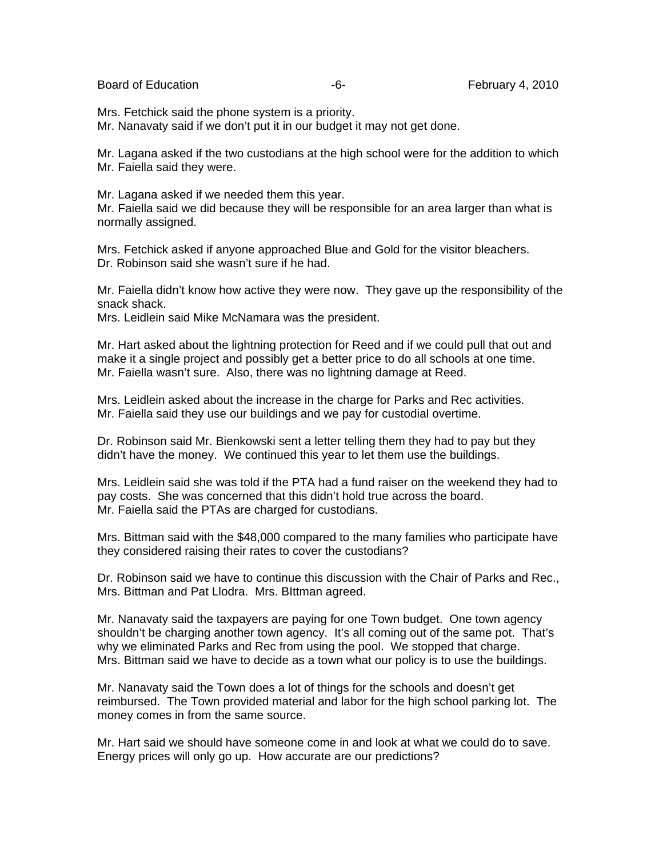Board of Education **Francisco Community** Control Control of Education **February 4, 2010** 

Mrs. Fetchick said the phone system is a priority. Mr. Nanavaty said if we don't put it in our budget it may not get done.

Mr. Lagana asked if the two custodians at the high school were for the addition to which Mr. Faiella said they were.

Mr. Lagana asked if we needed them this year. Mr. Faiella said we did because they will be responsible for an area larger than what is normally assigned.

Mrs. Fetchick asked if anyone approached Blue and Gold for the visitor bleachers. Dr. Robinson said she wasn't sure if he had.

Mr. Faiella didn't know how active they were now. They gave up the responsibility of the snack shack.

Mrs. Leidlein said Mike McNamara was the president.

Mr. Hart asked about the lightning protection for Reed and if we could pull that out and make it a single project and possibly get a better price to do all schools at one time. Mr. Faiella wasn't sure. Also, there was no lightning damage at Reed.

Mrs. Leidlein asked about the increase in the charge for Parks and Rec activities. Mr. Faiella said they use our buildings and we pay for custodial overtime.

Dr. Robinson said Mr. Bienkowski sent a letter telling them they had to pay but they didn't have the money. We continued this year to let them use the buildings.

Mrs. Leidlein said she was told if the PTA had a fund raiser on the weekend they had to pay costs. She was concerned that this didn't hold true across the board. Mr. Faiella said the PTAs are charged for custodians.

Mrs. Bittman said with the \$48,000 compared to the many families who participate have they considered raising their rates to cover the custodians?

Dr. Robinson said we have to continue this discussion with the Chair of Parks and Rec., Mrs. Bittman and Pat Llodra. Mrs. BIttman agreed.

Mr. Nanavaty said the taxpayers are paying for one Town budget. One town agency shouldn't be charging another town agency. It's all coming out of the same pot. That's why we eliminated Parks and Rec from using the pool. We stopped that charge. Mrs. Bittman said we have to decide as a town what our policy is to use the buildings.

Mr. Nanavaty said the Town does a lot of things for the schools and doesn't get reimbursed. The Town provided material and labor for the high school parking lot. The money comes in from the same source.

Mr. Hart said we should have someone come in and look at what we could do to save. Energy prices will only go up. How accurate are our predictions?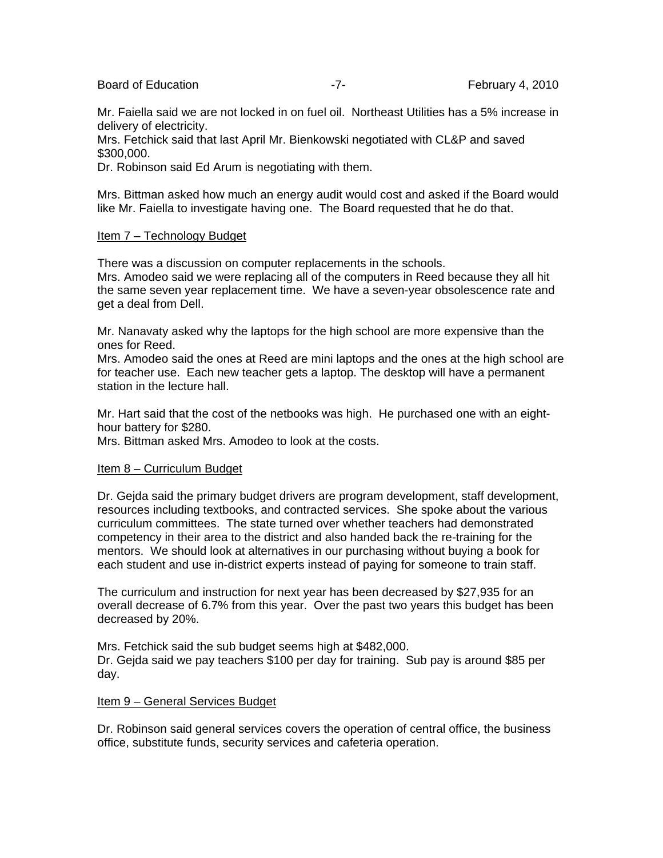Board of Education **Francisco Community** -7- February 4, 2010

Mr. Faiella said we are not locked in on fuel oil. Northeast Utilities has a 5% increase in delivery of electricity.

Mrs. Fetchick said that last April Mr. Bienkowski negotiated with CL&P and saved \$300,000.

Dr. Robinson said Ed Arum is negotiating with them.

Mrs. Bittman asked how much an energy audit would cost and asked if the Board would like Mr. Faiella to investigate having one. The Board requested that he do that.

## Item 7 – Technology Budget

There was a discussion on computer replacements in the schools.

Mrs. Amodeo said we were replacing all of the computers in Reed because they all hit the same seven year replacement time. We have a seven-year obsolescence rate and get a deal from Dell.

Mr. Nanavaty asked why the laptops for the high school are more expensive than the ones for Reed.

Mrs. Amodeo said the ones at Reed are mini laptops and the ones at the high school are for teacher use. Each new teacher gets a laptop. The desktop will have a permanent station in the lecture hall.

Mr. Hart said that the cost of the netbooks was high. He purchased one with an eighthour battery for \$280.

Mrs. Bittman asked Mrs. Amodeo to look at the costs.

## Item 8 - Curriculum Budget

Dr. Gejda said the primary budget drivers are program development, staff development, resources including textbooks, and contracted services. She spoke about the various curriculum committees. The state turned over whether teachers had demonstrated competency in their area to the district and also handed back the re-training for the mentors. We should look at alternatives in our purchasing without buying a book for each student and use in-district experts instead of paying for someone to train staff.

The curriculum and instruction for next year has been decreased by \$27,935 for an overall decrease of 6.7% from this year. Over the past two years this budget has been decreased by 20%.

Mrs. Fetchick said the sub budget seems high at \$482,000. Dr. Gejda said we pay teachers \$100 per day for training. Sub pay is around \$85 per day.

## Item 9 – General Services Budget

Dr. Robinson said general services covers the operation of central office, the business office, substitute funds, security services and cafeteria operation.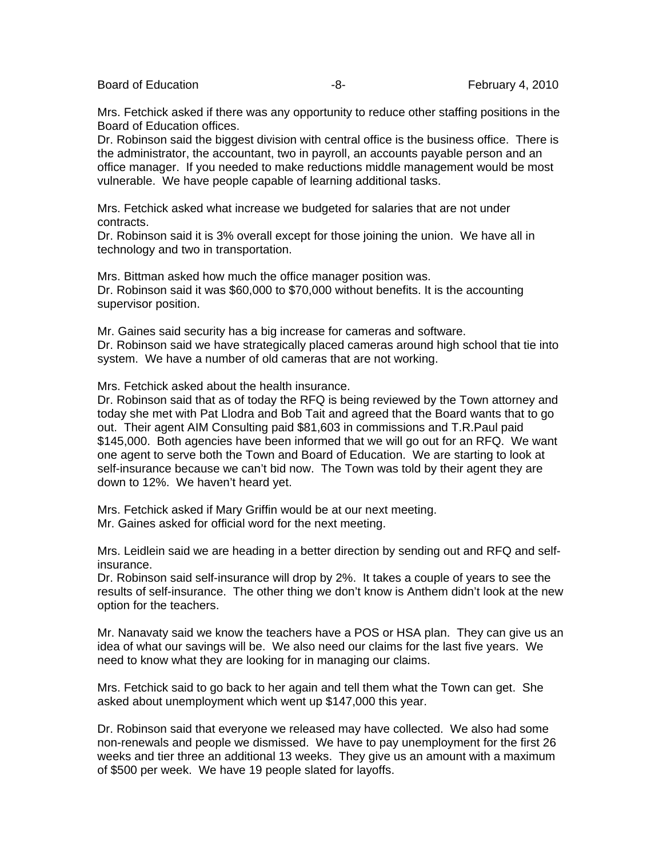Board of Education **-8-** February 4, 2010

Mrs. Fetchick asked if there was any opportunity to reduce other staffing positions in the Board of Education offices.

Dr. Robinson said the biggest division with central office is the business office. There is the administrator, the accountant, two in payroll, an accounts payable person and an office manager. If you needed to make reductions middle management would be most vulnerable. We have people capable of learning additional tasks.

Mrs. Fetchick asked what increase we budgeted for salaries that are not under contracts.

Dr. Robinson said it is 3% overall except for those joining the union. We have all in technology and two in transportation.

Mrs. Bittman asked how much the office manager position was. Dr. Robinson said it was \$60,000 to \$70,000 without benefits. It is the accounting supervisor position.

Mr. Gaines said security has a big increase for cameras and software. Dr. Robinson said we have strategically placed cameras around high school that tie into system. We have a number of old cameras that are not working.

Mrs. Fetchick asked about the health insurance.

Dr. Robinson said that as of today the RFQ is being reviewed by the Town attorney and today she met with Pat Llodra and Bob Tait and agreed that the Board wants that to go out. Their agent AIM Consulting paid \$81,603 in commissions and T.R.Paul paid \$145,000. Both agencies have been informed that we will go out for an RFQ. We want one agent to serve both the Town and Board of Education. We are starting to look at self-insurance because we can't bid now. The Town was told by their agent they are down to 12%. We haven't heard yet.

Mrs. Fetchick asked if Mary Griffin would be at our next meeting. Mr. Gaines asked for official word for the next meeting.

Mrs. Leidlein said we are heading in a better direction by sending out and RFQ and selfinsurance.

Dr. Robinson said self-insurance will drop by 2%. It takes a couple of years to see the results of self-insurance. The other thing we don't know is Anthem didn't look at the new option for the teachers.

Mr. Nanavaty said we know the teachers have a POS or HSA plan. They can give us an idea of what our savings will be. We also need our claims for the last five years. We need to know what they are looking for in managing our claims.

Mrs. Fetchick said to go back to her again and tell them what the Town can get. She asked about unemployment which went up \$147,000 this year.

Dr. Robinson said that everyone we released may have collected. We also had some non-renewals and people we dismissed. We have to pay unemployment for the first 26 weeks and tier three an additional 13 weeks. They give us an amount with a maximum of \$500 per week. We have 19 people slated for layoffs.